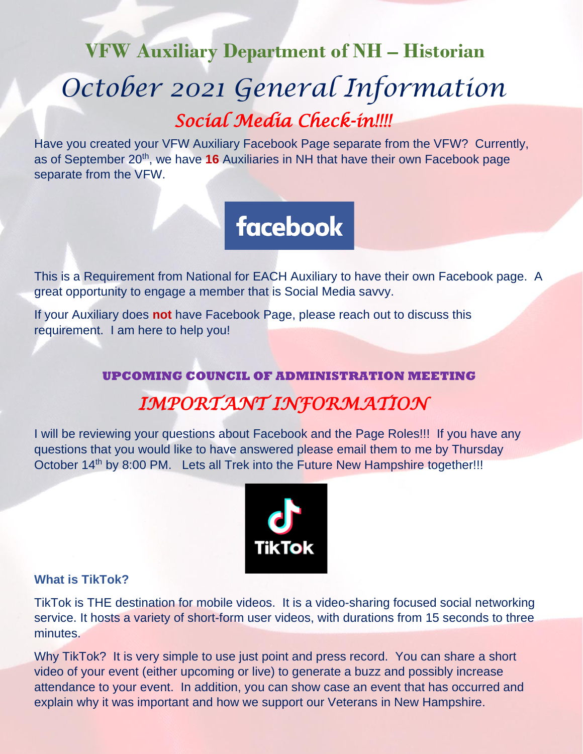# **VFW Auxiliary Department of NH – Historian** *October 2021 General Information Social Media Check-in!!!!*

Have you created your VFW Auxiliary Facebook Page separate from the VFW? Currently, as of September 20<sup>th</sup>, we have 16 Auxiliaries in NH that have their own Facebook page separate from the VFW.

# **facebook**

This is a Requirement from National for EACH Auxiliary to have their own Facebook page. A great opportunity to engage a member that is Social Media savvy.

If your Auxiliary does **not** have Facebook Page, please reach out to discuss this requirement. I am here to help you!

## **UPCOMING COUNCIL OF ADMINISTRATION MEETING** *IMPORTANT INFORMATION*

I will be reviewing your questions about Facebook and the Page Roles!!! If you have any questions that you would like to have answered please email them to me by Thursday October 14<sup>th</sup> by 8:00 PM. Lets all Trek into the Future New Hampshire together!!!



#### **What is TikTok?**

TikTok is THE destination for mobile videos. It is a video-sharing focused social networking service. It hosts a variety of short-form user videos, with durations from 15 seconds to three minutes.

Why TikTok? It is very simple to use just point and press record. You can share a short video of your event (either upcoming or live) to generate a buzz and possibly increase attendance to your event. In addition, you can show case an event that has occurred and explain why it was important and how we support our Veterans in New Hampshire.